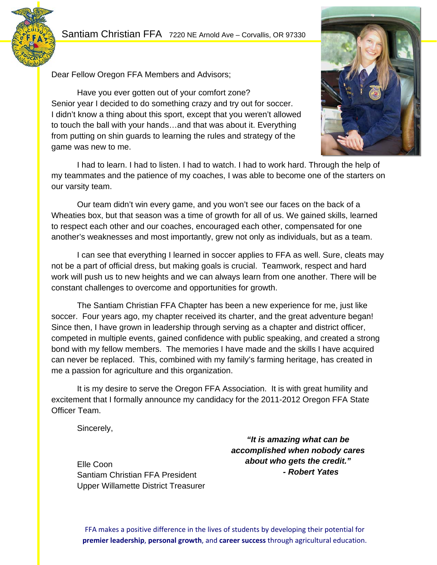# Santiam Christian FFA 7220 NE Arnold Ave – Corvallis, OR 97330





Have you ever gotten out of your comfort zone? Senior year I decided to do something crazy and try out for soccer. I didn't know a thing about this sport, except that you weren't allowed to touch the ball with your hands…and that was about it. Everything from putting on shin guards to learning the rules and strategy of the game was new to me.



 I had to learn. I had to listen. I had to watch. I had to work hard. Through the help of my teammates and the patience of my coaches, I was able to become one of the starters on our varsity team.

 Our team didn't win every game, and you won't see our faces on the back of a Wheaties box, but that season was a time of growth for all of us. We gained skills, learned to respect each other and our coaches, encouraged each other, compensated for one another's weaknesses and most importantly, grew not only as individuals, but as a team.

 I can see that everything I learned in soccer applies to FFA as well. Sure, cleats may not be a part of official dress, but making goals is crucial. Teamwork, respect and hard work will push us to new heights and we can always learn from one another. There will be constant challenges to overcome and opportunities for growth.

 The Santiam Christian FFA Chapter has been a new experience for me, just like soccer. Four years ago, my chapter received its charter, and the great adventure began! Since then, I have grown in leadership through serving as a chapter and district officer, competed in multiple events, gained confidence with public speaking, and created a strong bond with my fellow members. The memories I have made and the skills I have acquired can never be replaced. This, combined with my family's farming heritage, has created in me a passion for agriculture and this organization.

It is my desire to serve the Oregon FFA Association. It is with great humility and excitement that I formally announce my candidacy for the 2011-2012 Oregon FFA State Officer Team.

Sincerely,

 Elle Coon Santiam Christian FFA President Upper Willamette District Treasurer

*"It is amazing what can be accomplished when nobody cares about who gets the credit." - Robert Yates* 

FFA makes a positive difference in the lives of students by developing their potential for **premier leadership**, **personal growth**, and **career success** through agricultural education.